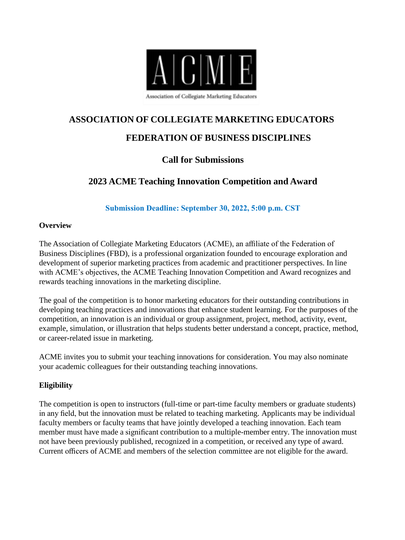

# **ASSOCIATION OF COLLEGIATE MARKETING EDUCATORS**

## **FEDERATION OF BUSINESS DISCIPLINES**

## **Call for Submissions**

## **2023 ACME Teaching Innovation Competition and Award**

**Submission Deadline: September 30, 2022, 5:00 p.m. CST**

#### **Overview**

The Association of Collegiate Marketing Educators (ACME), an affiliate of the Federation of Business Disciplines (FBD), is a professional organization founded to encourage exploration and development of superior marketing practices from academic and practitioner perspectives. In line with ACME's objectives, the ACME Teaching Innovation Competition and Award recognizes and rewards teaching innovations in the marketing discipline.

The goal of the competition is to honor marketing educators for their outstanding contributions in developing teaching practices and innovations that enhance student learning. For the purposes of the competition, an innovation is an individual or group assignment, project, method, activity, event, example, simulation, or illustration that helps students better understand a concept, practice, method, or career-related issue in marketing.

ACME invites you to submit your teaching innovations for consideration. You may also nominate your academic colleagues for their outstanding teaching innovations.

### **Eligibility**

The competition is open to instructors (full-time or part-time faculty members or graduate students) in any field, but the innovation must be related to teaching marketing. Applicants may be individual faculty members or faculty teams that have jointly developed a teaching innovation. Each team member must have made a significant contribution to a multiple-member entry. The innovation must not have been previously published, recognized in a competition, or received any type of award. Current officers of ACME and members of the selection committee are not eligible for the award.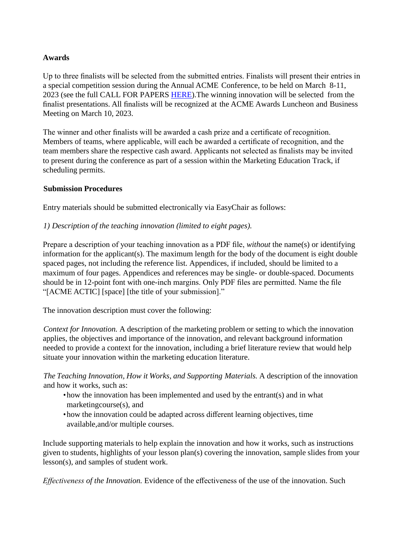#### **Awards**

Up to three finalists will be selected from the submitted entries. Finalists will present their entries in a special competition session during the Annual ACME Conference, to be held on March 8-11, 2023 (see the full CALL FOR PAPERS [HERE\)](https://frostburg-my.sharepoint.com/:b:/g/personal/lye_frostburg_edu/Ed9yNHITnVREvKXpaN7luXwBFOEKbZg4SLIZLNnmQZRLzg?e=azLFpM).The winning innovation will be selected from the finalist presentations. All finalists will be recognized at the ACME Awards Luncheon and Business Meeting on March 10, 2023.

The winner and other finalists will be awarded a cash prize and a certificate of recognition. Members of teams, where applicable, will each be awarded a certificate of recognition, and the team members share the respective cash award. Applicants not selected as finalists may be invited to present during the conference as part of a session within the Marketing Education Track, if scheduling permits.

#### **Submission Procedures**

Entry materials should be submitted electronically via EasyChair as follows:

#### *1) Description of the teaching innovation (limited to eight pages).*

Prepare a description of your teaching innovation as a PDF file, *without* the name(s) or identifying information for the applicant(s). The maximum length for the body of the document is eight double spaced pages, not including the reference list. Appendices, if included, should be limited to a maximum of four pages. Appendices and references may be single- or double-spaced. Documents should be in 12-point font with one-inch margins. Only PDF files are permitted. Name the file "[ACME ACTIC] [space] [the title of your submission]."

The innovation description must cover the following:

*Context for Innovation.* A description of the marketing problem or setting to which the innovation applies, the objectives and importance of the innovation, and relevant background information needed to provide a context for the innovation, including a brief literature review that would help situate your innovation within the marketing education literature.

*The Teaching Innovation, How it Works, and Supporting Materials.* A description of the innovation and how it works, such as:

- •how the innovation has been implemented and used by the entrant(s) and in what marketingcourse(s), and
- •how the innovation could be adapted across different learning objectives, time available,and/or multiple courses.

Include supporting materials to help explain the innovation and how it works, such as instructions given to students, highlights of your lesson plan(s) covering the innovation, sample slides from your lesson(s), and samples of student work.

*Effectiveness of the Innovation.* Evidence of the effectiveness of the use of the innovation. Such